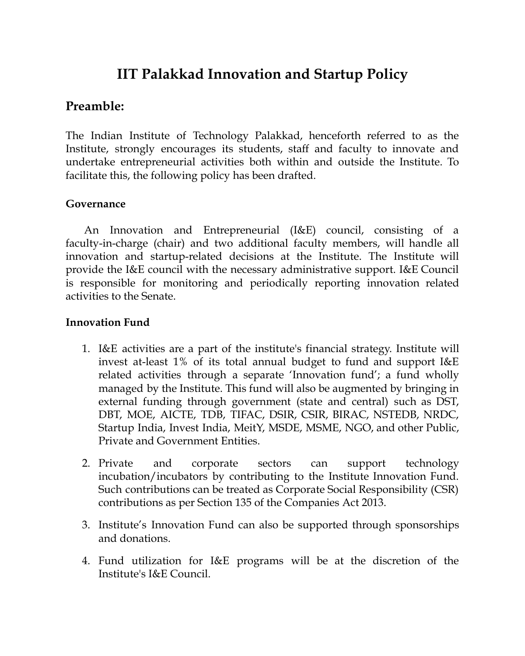# **IIT Palakkad Innovation and Startup Policy**

## **Preamble:**

The Indian Institute of Technology Palakkad, henceforth referred to as the Institute, strongly encourages its students, staff and faculty to innovate and undertake entrepreneurial activities both within and outside the Institute. To facilitate this, the following policy has been drafted.

## **Governance**

An Innovation and Entrepreneurial (I&E) council, consisting of a faculty-in-charge (chair) and two additional faculty members, will handle all innovation and startup-related decisions at the Institute. The Institute will provide the I&E council with the necessary administrative support. I&E Council is responsible for monitoring and periodically reporting innovation related activities to the Senate.

#### **Innovation Fund**

- 1. I&E activities are a part of the institute's financial strategy. Institute will invest at-least 1% of its total annual budget to fund and support I&E related activities through a separate 'Innovation fund'; a fund wholly managed by the Institute. This fund will also be augmented by bringing in external funding through government (state and central) such as DST, DBT, MOE, AICTE, TDB, TIFAC, DSIR, CSIR, BIRAC, NSTEDB, NRDC, Startup India, Invest India, MeitY, MSDE, MSME, NGO, and other Public, Private and Government Entities.
- 2. Private and corporate sectors can support technology incubation/incubators by contributing to the Institute Innovation Fund. Such contributions can be treated as Corporate Social Responsibility (CSR) contributions as per Section 135 of the Companies Act 2013.
- 3. Institute's Innovation Fund can also be supported through sponsorships and donations.
- 4. Fund utilization for I&E programs will be at the discretion of the Institute's I&E Council.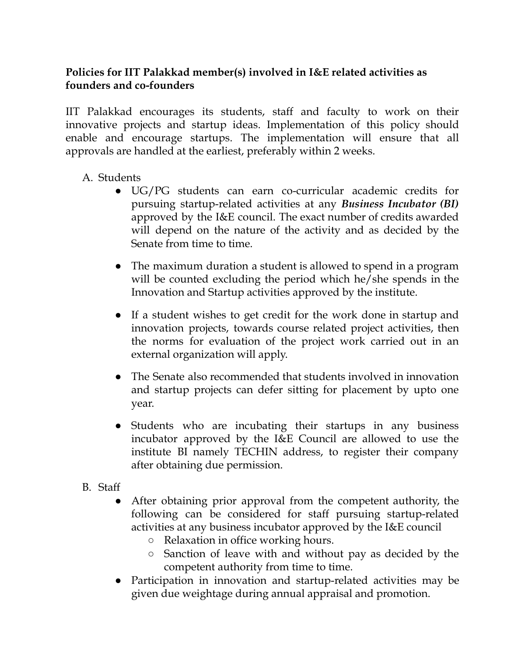#### **Policies for IIT Palakkad member(s) involved in I&E related activities as founders and co-founders**

IIT Palakkad encourages its students, staff and faculty to work on their innovative projects and startup ideas. Implementation of this policy should enable and encourage startups. The implementation will ensure that all approvals are handled at the earliest, preferably within 2 weeks.

## A. Students

- UG/PG students can earn co-curricular academic credits for pursuing startup-related activities at any *Business Incubator (BI)* approved by the I&E council. The exact number of credits awarded will depend on the nature of the activity and as decided by the Senate from time to time.
- The maximum duration a student is allowed to spend in a program will be counted excluding the period which he/she spends in the Innovation and Startup activities approved by the institute.
- If a student wishes to get credit for the work done in startup and innovation projects, towards course related project activities, then the norms for evaluation of the project work carried out in an external organization will apply.
- The Senate also recommended that students involved in innovation and startup projects can defer sitting for placement by upto one year.
- Students who are incubating their startups in any business incubator approved by the I&E Council are allowed to use the institute BI namely TECHIN address, to register their company after obtaining due permission.
- B. Staff
	- After obtaining prior approval from the competent authority, the following can be considered for staff pursuing startup-related activities at any business incubator approved by the I&E council
		- Relaxation in office working hours.
		- Sanction of leave with and without pay as decided by the competent authority from time to time.
	- Participation in innovation and startup-related activities may be given due weightage during annual appraisal and promotion.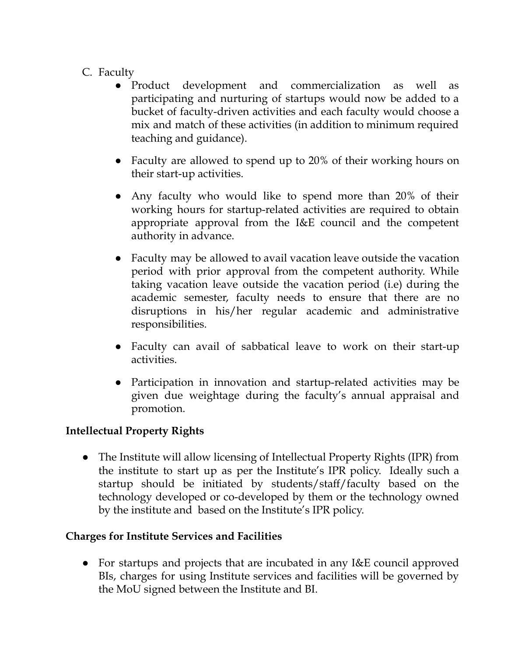- C. Faculty
	- Product development and commercialization as well as participating and nurturing of startups would now be added to a bucket of faculty-driven activities and each faculty would choose a mix and match of these activities (in addition to minimum required teaching and guidance).
	- Faculty are allowed to spend up to 20% of their working hours on their start-up activities.
	- Any faculty who would like to spend more than 20% of their working hours for startup-related activities are required to obtain appropriate approval from the I&E council and the competent authority in advance.
	- Faculty may be allowed to avail vacation leave outside the vacation period with prior approval from the competent authority. While taking vacation leave outside the vacation period (i.e) during the academic semester, faculty needs to ensure that there are no disruptions in his/her regular academic and administrative responsibilities.
	- Faculty can avail of sabbatical leave to work on their start-up activities.
	- Participation in innovation and startup-related activities may be given due weightage during the faculty's annual appraisal and promotion.

## **Intellectual Property Rights**

● The Institute will allow licensing of Intellectual Property Rights (IPR) from the institute to start up as per the Institute's IPR policy. Ideally such a startup should be initiated by students/staff/faculty based on the technology developed or co-developed by them or the technology owned by the institute and based on the Institute's IPR policy.

## **Charges for Institute Services and Facilities**

● For startups and projects that are incubated in any I&E council approved BIs, charges for using Institute services and facilities will be governed by the MoU signed between the Institute and BI.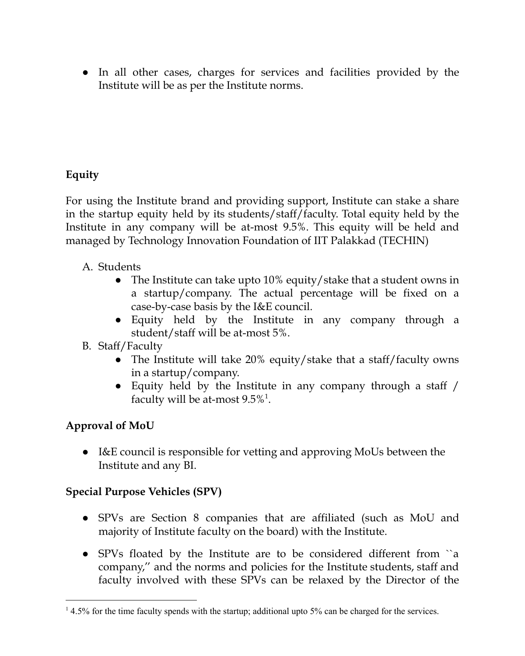● In all other cases, charges for services and facilities provided by the Institute will be as per the Institute norms.

## **Equity**

For using the Institute brand and providing support, Institute can stake a share in the startup equity held by its students/staff/faculty. Total equity held by the Institute in any company will be at-most 9.5%. This equity will be held and managed by Technology Innovation Foundation of IIT Palakkad (TECHIN)

- A. Students
	- The Institute can take upto 10% equity/stake that a student owns in a startup/company. The actual percentage will be fixed on a case-by-case basis by the I&E council.
	- Equity held by the Institute in any company through a student/staff will be at-most 5%.
- B. Staff/Faculty
	- The Institute will take 20% equity/stake that a staff/faculty owns in a startup/company.
	- Equity held by the Institute in any company through a staff / faculty will be at-most  $9.5\%$ <sup>1</sup>.

## **Approval of MoU**

● I&E council is responsible for vetting and approving MoUs between the Institute and any BI.

## **Special Purpose Vehicles (SPV)**

- SPVs are Section 8 companies that are affiliated (such as MoU and majority of Institute faculty on the board) with the Institute.
- SPVs floated by the Institute are to be considered different from ``a company,'' and the norms and policies for the Institute students, staff and faculty involved with these SPVs can be relaxed by the Director of the

 $14.5\%$  for the time faculty spends with the startup; additional upto 5% can be charged for the services.